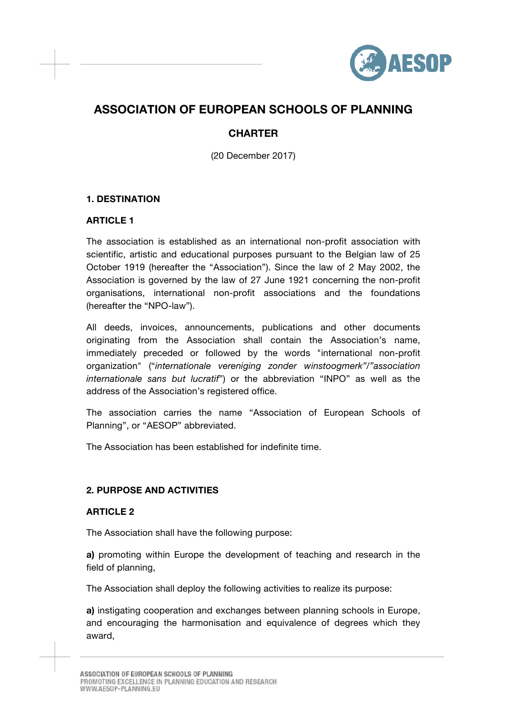

# **ASSOCIATION OF EUROPEAN SCHOOLS OF PLANNING**

## **CHARTER**

(20 December 2017)

## **1. DESTINATION**

## **ARTICLE 1**

The association is established as an international non-profit association with scientific, artistic and educational purposes pursuant to the Belgian law of 25 October 1919 (hereafter the "Association"). Since the law of 2 May 2002, the Association is governed by the law of 27 June 1921 concerning the non-profit organisations, international non-profit associations and the foundations (hereafter the "NPO-law").

All deeds, invoices, announcements, publications and other documents originating from the Association shall contain the Association's name, immediately preceded or followed by the words "international non-profit organization" ("*internationale vereniging zonder winstoogmerk"/"association internationale sans but lucratif*") or the abbreviation "INPO" as well as the address of the Association's registered office.

The association carries the name "Association of European Schools of Planning", or "AESOP" abbreviated.

The Association has been established for indefinite time.

#### **2. PURPOSE AND ACTIVITIES**

#### **ARTICLE 2**

The Association shall have the following purpose:

**a)** promoting within Europe the development of teaching and research in the field of planning,

The Association shall deploy the following activities to realize its purpose:

**a)** instigating cooperation and exchanges between planning schools in Europe, and encouraging the harmonisation and equivalence of degrees which they award,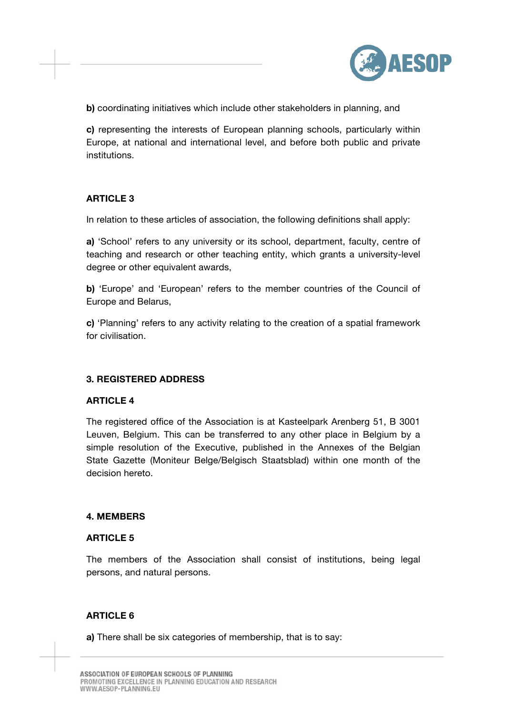

**b)** coordinating initiatives which include other stakeholders in planning, and

**c)** representing the interests of European planning schools, particularly within Europe, at national and international level, and before both public and private institutions.

## **ARTICLE 3**

In relation to these articles of association, the following definitions shall apply:

**a)** 'School' refers to any university or its school, department, faculty, centre of teaching and research or other teaching entity, which grants a university-level degree or other equivalent awards.

**b)** 'Europe' and 'European' refers to the member countries of the Council of Europe and Belarus,

**c)** 'Planning' refers to any activity relating to the creation of a spatial framework for civilisation.

#### **3. REGISTERED ADDRESS**

#### **ARTICLE 4**

The registered office of the Association is at Kasteelpark Arenberg 51, B 3001 Leuven, Belgium. This can be transferred to any other place in Belgium by a simple resolution of the Executive, published in the Annexes of the Belgian State Gazette (Moniteur Belge/Belgisch Staatsblad) within one month of the decision hereto.

#### **4. MEMBERS**

#### **ARTICLE 5**

The members of the Association shall consist of institutions, being legal persons, and natural persons.

#### **ARTICLE 6**

**a)** There shall be six categories of membership, that is to say: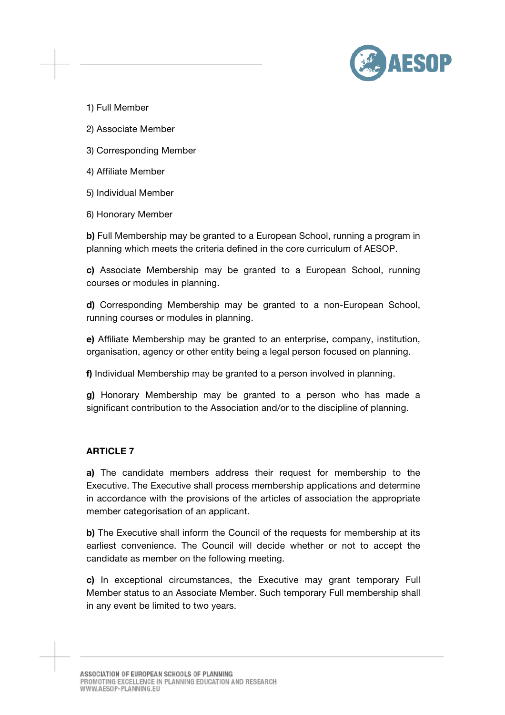

1) Full Member

- 2) Associate Member
- 3) Corresponding Member
- 4) Affiliate Member
- 5) Individual Member
- 6) Honorary Member

**b)** Full Membership may be granted to a European School, running a program in planning which meets the criteria defined in the core curriculum of AESOP.

**c)** Associate Membership may be granted to a European School, running courses or modules in planning.

**d)** Corresponding Membership may be granted to a non-European School, running courses or modules in planning.

**e)** Affiliate Membership may be granted to an enterprise, company, institution, organisation, agency or other entity being a legal person focused on planning.

**f)** Individual Membership may be granted to a person involved in planning.

**g)** Honorary Membership may be granted to a person who has made a significant contribution to the Association and/or to the discipline of planning.

## **ARTICLE 7**

**a)** The candidate members address their request for membership to the Executive. The Executive shall process membership applications and determine in accordance with the provisions of the articles of association the appropriate member categorisation of an applicant.

**b)** The Executive shall inform the Council of the requests for membership at its earliest convenience. The Council will decide whether or not to accept the candidate as member on the following meeting.

**c)** In exceptional circumstances, the Executive may grant temporary Full Member status to an Associate Member. Such temporary Full membership shall in any event be limited to two years.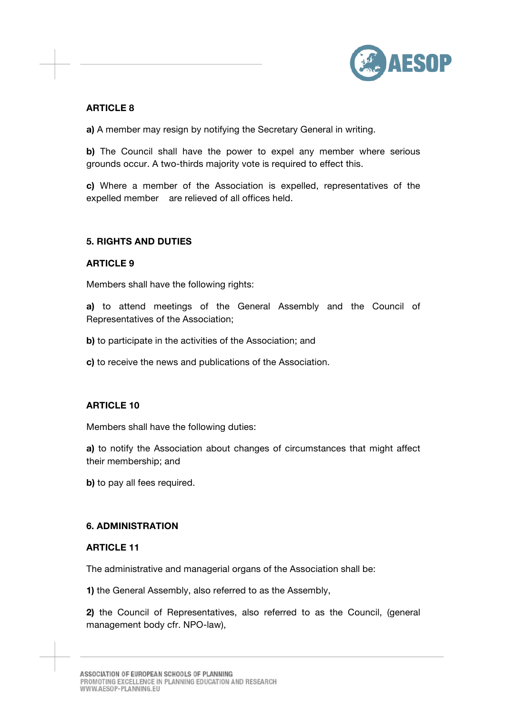

## **ARTICLE 8**

**a)** A member may resign by notifying the Secretary General in writing.

**b)** The Council shall have the power to expel any member where serious grounds occur. A two-thirds majority vote is required to effect this.

**c)** Where a member of the Association is expelled, representatives of the expelled member are relieved of all offices held.

#### **5. RIGHTS AND DUTIES**

#### **ARTICLE 9**

Members shall have the following rights:

**a)** to attend meetings of the General Assembly and the Council of Representatives of the Association;

**b)** to participate in the activities of the Association; and

**c)** to receive the news and publications of the Association.

## **ARTICLE 10**

Members shall have the following duties:

**a)** to notify the Association about changes of circumstances that might affect their membership; and

**b)** to pay all fees required.

#### **6. ADMINISTRATION**

#### **ARTICLE 11**

The administrative and managerial organs of the Association shall be:

**1)** the General Assembly, also referred to as the Assembly,

**2)** the Council of Representatives, also referred to as the Council, (general management body cfr. NPO-law),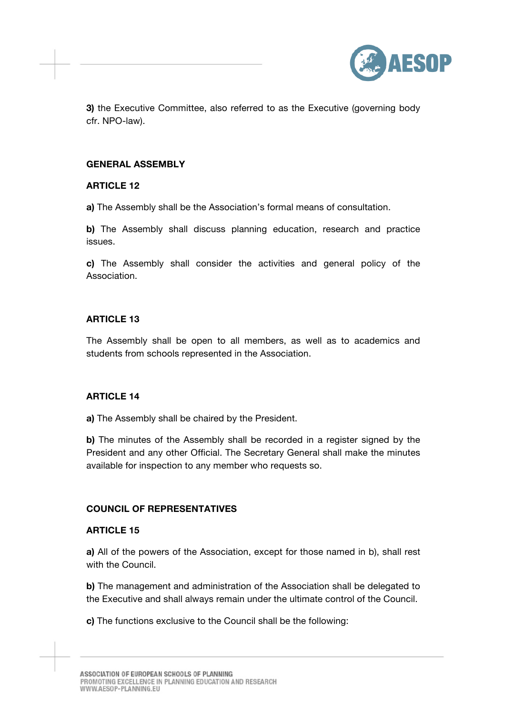

**3)** the Executive Committee, also referred to as the Executive (governing body cfr. NPO-law).

#### **GENERAL ASSEMBLY**

#### **ARTICLE 12**

**a)** The Assembly shall be the Association's formal means of consultation.

**b)** The Assembly shall discuss planning education, research and practice issues.

**c)** The Assembly shall consider the activities and general policy of the Association.

#### **ARTICLE 13**

The Assembly shall be open to all members, as well as to academics and students from schools represented in the Association.

### **ARTICLE 14**

**a)** The Assembly shall be chaired by the President.

**b)** The minutes of the Assembly shall be recorded in a register signed by the President and any other Official. The Secretary General shall make the minutes available for inspection to any member who requests so.

#### **COUNCIL OF REPRESENTATIVES**

#### **ARTICLE 15**

**a)** All of the powers of the Association, except for those named in b), shall rest with the Council.

**b)** The management and administration of the Association shall be delegated to the Executive and shall always remain under the ultimate control of the Council.

**c)** The functions exclusive to the Council shall be the following: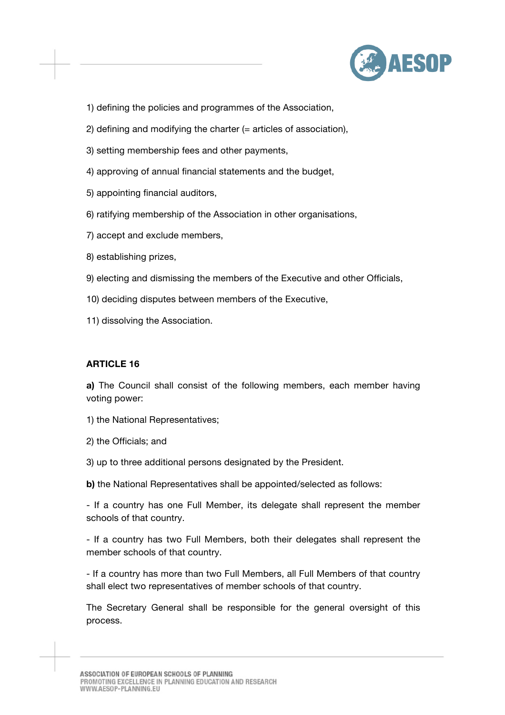

- 1) defining the policies and programmes of the Association,
- 2) defining and modifying the charter (= articles of association),
- 3) setting membership fees and other payments,
- 4) approving of annual financial statements and the budget,
- 5) appointing financial auditors,
- 6) ratifying membership of the Association in other organisations,
- 7) accept and exclude members,
- 8) establishing prizes,
- 9) electing and dismissing the members of the Executive and other Officials,
- 10) deciding disputes between members of the Executive,
- 11) dissolving the Association.

#### **ARTICLE 16**

**a)** The Council shall consist of the following members, each member having voting power:

- 1) the National Representatives;
- 2) the Officials; and
- 3) up to three additional persons designated by the President.
- **b)** the National Representatives shall be appointed/selected as follows:

- If a country has one Full Member, its delegate shall represent the member schools of that country.

- If a country has two Full Members, both their delegates shall represent the member schools of that country.

- If a country has more than two Full Members, all Full Members of that country shall elect two representatives of member schools of that country.

The Secretary General shall be responsible for the general oversight of this process.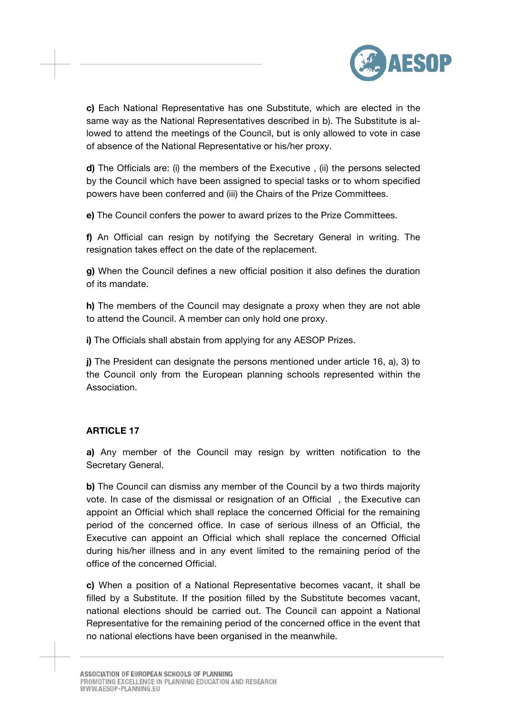

**c)** Each National Representative has one Substitute, which are elected in the same way as the National Representatives described in b). The Substitute is allowed to attend the meetings of the Council, but is only allowed to vote in case of absence of the National Representative or his/her proxy.

**d)** The Officials are: (i) the members of the Executive , (ii) the persons selected by the Council which have been assigned to special tasks or to whom specified powers have been conferred and (iii) the Chairs of the Prize Committees.

**e)** The Council confers the power to award prizes to the Prize Committees.

**f)** An Official can resign by notifying the Secretary General in writing. The resignation takes effect on the date of the replacement.

**g)** When the Council defines a new official position it also defines the duration of its mandate.

**h)** The members of the Council may designate a proxy when they are not able to attend the Council. A member can only hold one proxy.

**i)** The Officials shall abstain from applying for any AESOP Prizes.

**j)** The President can designate the persons mentioned under article 16, a), 3) to the Council only from the European planning schools represented within the Association.

#### **ARTICLE 17**

**a)** Any member of the Council may resign by written notification to the Secretary General.

**b)** The Council can dismiss any member of the Council by a two thirds majority vote. In case of the dismissal or resignation of an Official , the Executive can appoint an Official which shall replace the concerned Official for the remaining period of the concerned office. In case of serious illness of an Official, the Executive can appoint an Official which shall replace the concerned Official during his/her illness and in any event limited to the remaining period of the office of the concerned Official.

**c)** When a position of a National Representative becomes vacant, it shall be filled by a Substitute. If the position filled by the Substitute becomes vacant, national elections should be carried out. The Council can appoint a National Representative for the remaining period of the concerned office in the event that no national elections have been organised in the meanwhile.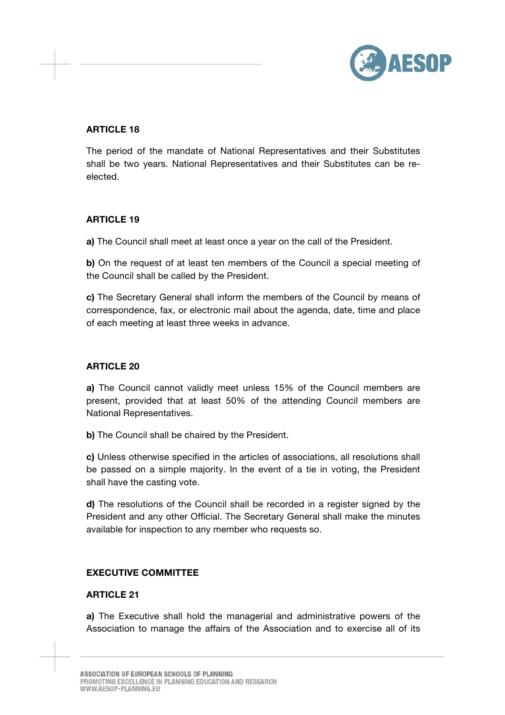

## **ARTICLE 18**

The period of the mandate of National Representatives and their Substitutes shall be two years. National Representatives and their Substitutes can be reelected.

#### **ARTICLE 19**

**a)** The Council shall meet at least once a year on the call of the President.

**b)** On the request of at least ten members of the Council a special meeting of the Council shall be called by the President.

**c)** The Secretary General shall inform the members of the Council by means of correspondence, fax, or electronic mail about the agenda, date, time and place of each meeting at least three weeks in advance.

## **ARTICLE 20**

**a)** The Council cannot validly meet unless 15% of the Council members are present, provided that at least 50% of the attending Council members are National Representatives.

**b)** The Council shall be chaired by the President.

**c)** Unless otherwise specified in the articles of associations, all resolutions shall be passed on a simple majority. In the event of a tie in voting, the President shall have the casting vote.

**d)** The resolutions of the Council shall be recorded in a register signed by the President and any other Official. The Secretary General shall make the minutes available for inspection to any member who requests so.

## **EXECUTIVE COMMITTEE**

#### **ARTICLE 21**

**a)** The Executive shall hold the managerial and administrative powers of the Association to manage the affairs of the Association and to exercise all of its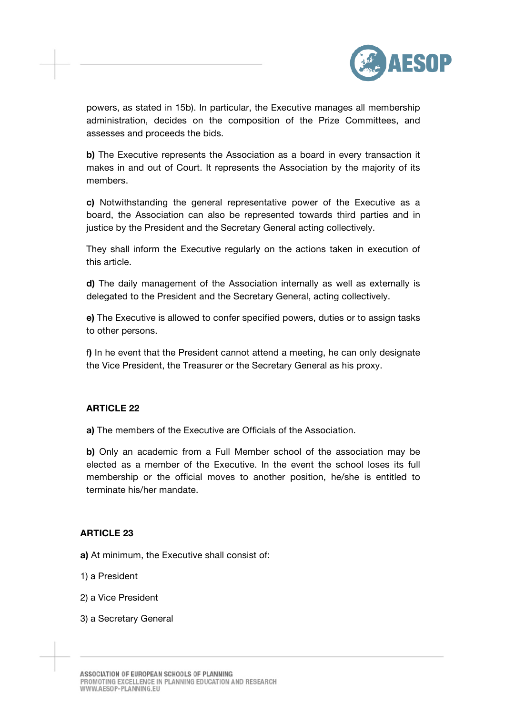

powers, as stated in 15b). In particular, the Executive manages all membership administration, decides on the composition of the Prize Committees, and assesses and proceeds the bids.

**b)** The Executive represents the Association as a board in every transaction it makes in and out of Court. It represents the Association by the majority of its members.

**c)** Notwithstanding the general representative power of the Executive as a board, the Association can also be represented towards third parties and in justice by the President and the Secretary General acting collectively.

They shall inform the Executive regularly on the actions taken in execution of this article.

**d)** The daily management of the Association internally as well as externally is delegated to the President and the Secretary General, acting collectively.

**e)** The Executive is allowed to confer specified powers, duties or to assign tasks to other persons.

f**)** In he event that the President cannot attend a meeting, he can only designate the Vice President, the Treasurer or the Secretary General as his proxy.

#### **ARTICLE 22**

**a)** The members of the Executive are Officials of the Association.

**b)** Only an academic from a Full Member school of the association may be elected as a member of the Executive. In the event the school loses its full membership or the official moves to another position, he/she is entitled to terminate his/her mandate.

#### **ARTICLE 23**

**a)** At minimum, the Executive shall consist of:

- 1) a President
- 2) a Vice President
- 3) a Secretary General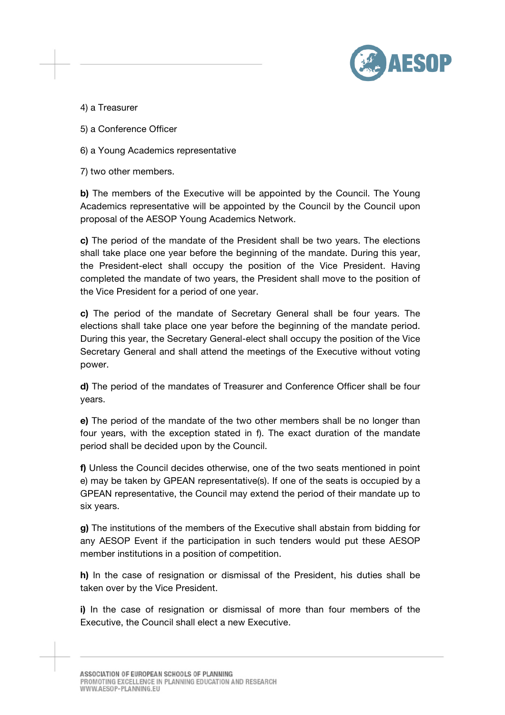

4) a Treasurer

5) a Conference Officer

6) a Young Academics representative

7) two other members.

**b)** The members of the Executive will be appointed by the Council. The Young Academics representative will be appointed by the Council by the Council upon proposal of the AESOP Young Academics Network.

**c)** The period of the mandate of the President shall be two years. The elections shall take place one year before the beginning of the mandate. During this year, the President-elect shall occupy the position of the Vice President. Having completed the mandate of two years, the President shall move to the position of the Vice President for a period of one year.

**c)** The period of the mandate of Secretary General shall be four years. The elections shall take place one year before the beginning of the mandate period. During this year, the Secretary General-elect shall occupy the position of the Vice Secretary General and shall attend the meetings of the Executive without voting power.

**d)** The period of the mandates of Treasurer and Conference Officer shall be four years.

**e)** The period of the mandate of the two other members shall be no longer than four years, with the exception stated in f). The exact duration of the mandate period shall be decided upon by the Council.

**f)** Unless the Council decides otherwise, one of the two seats mentioned in point e) may be taken by GPEAN representative(s). If one of the seats is occupied by a GPEAN representative, the Council may extend the period of their mandate up to six years.

**g)** The institutions of the members of the Executive shall abstain from bidding for any AESOP Event if the participation in such tenders would put these AESOP member institutions in a position of competition.

**h)** In the case of resignation or dismissal of the President, his duties shall be taken over by the Vice President.

**i)** In the case of resignation or dismissal of more than four members of the Executive, the Council shall elect a new Executive.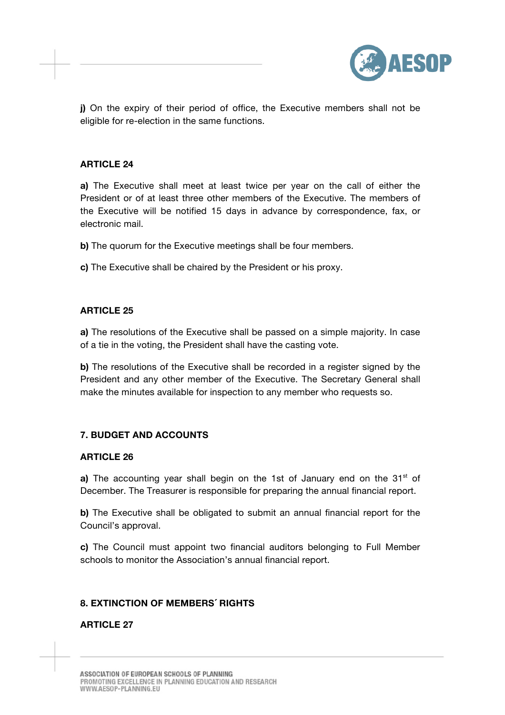

**j)** On the expiry of their period of office, the Executive members shall not be eligible for re-election in the same functions.

#### **ARTICLE 24**

**a)** The Executive shall meet at least twice per year on the call of either the President or of at least three other members of the Executive. The members of the Executive will be notified 15 days in advance by correspondence, fax, or electronic mail.

**b)** The quorum for the Executive meetings shall be four members.

**c)** The Executive shall be chaired by the President or his proxy.

#### **ARTICLE 25**

**a)** The resolutions of the Executive shall be passed on a simple majority. In case of a tie in the voting, the President shall have the casting vote.

**b)** The resolutions of the Executive shall be recorded in a register signed by the President and any other member of the Executive. The Secretary General shall make the minutes available for inspection to any member who requests so.

#### **7. BUDGET AND ACCOUNTS**

#### **ARTICLE 26**

**a)** The accounting year shall begin on the 1st of January end on the 31<sup>st</sup> of December. The Treasurer is responsible for preparing the annual financial report.

**b)** The Executive shall be obligated to submit an annual financial report for the Council's approval.

**c)** The Council must appoint two financial auditors belonging to Full Member schools to monitor the Association's annual financial report.

#### **8. EXTINCTION OF MEMBERS´ RIGHTS**

#### **ARTICLE 27**